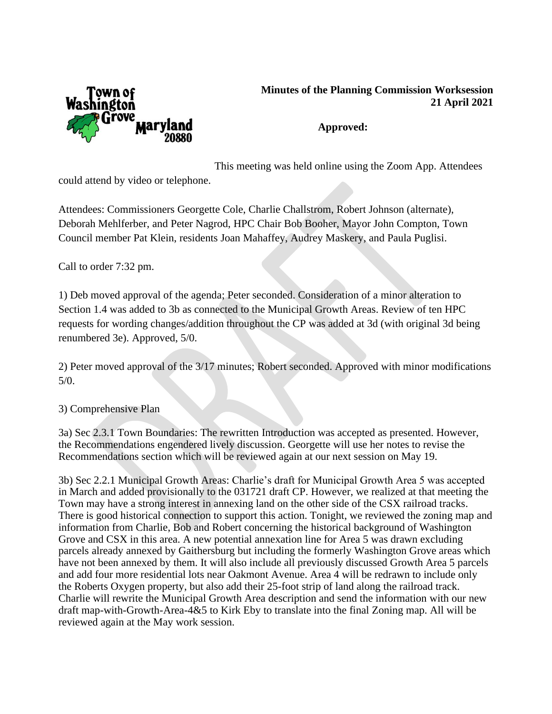

## **Minutes of the Planning Commission Worksession 21 April 2021**

## **Approved:**

This meeting was held online using the Zoom App. Attendees

could attend by video or telephone.

Attendees: Commissioners Georgette Cole, Charlie Challstrom, Robert Johnson (alternate), Deborah Mehlferber, and Peter Nagrod, HPC Chair Bob Booher, Mayor John Compton, Town Council member Pat Klein, residents Joan Mahaffey, Audrey Maskery, and Paula Puglisi.

Call to order 7:32 pm.

1) Deb moved approval of the agenda; Peter seconded. Consideration of a minor alteration to Section 1.4 was added to 3b as connected to the Municipal Growth Areas. Review of ten HPC requests for wording changes/addition throughout the CP was added at 3d (with original 3d being renumbered 3e). Approved, 5/0.

2) Peter moved approval of the 3/17 minutes; Robert seconded. Approved with minor modifications 5/0.

3) Comprehensive Plan

3a) Sec 2.3.1 Town Boundaries: The rewritten Introduction was accepted as presented. However, the Recommendations engendered lively discussion. Georgette will use her notes to revise the Recommendations section which will be reviewed again at our next session on May 19.

3b) Sec 2.2.1 Municipal Growth Areas: Charlie's draft for Municipal Growth Area 5 was accepted in March and added provisionally to the 031721 draft CP. However, we realized at that meeting the Town may have a strong interest in annexing land on the other side of the CSX railroad tracks. There is good historical connection to support this action. Tonight, we reviewed the zoning map and information from Charlie, Bob and Robert concerning the historical background of Washington Grove and CSX in this area. A new potential annexation line for Area 5 was drawn excluding parcels already annexed by Gaithersburg but including the formerly Washington Grove areas which have not been annexed by them. It will also include all previously discussed Growth Area 5 parcels and add four more residential lots near Oakmont Avenue. Area 4 will be redrawn to include only the Roberts Oxygen property, but also add their 25-foot strip of land along the railroad track. Charlie will rewrite the Municipal Growth Area description and send the information with our new draft map-with-Growth-Area-4&5 to Kirk Eby to translate into the final Zoning map. All will be reviewed again at the May work session.